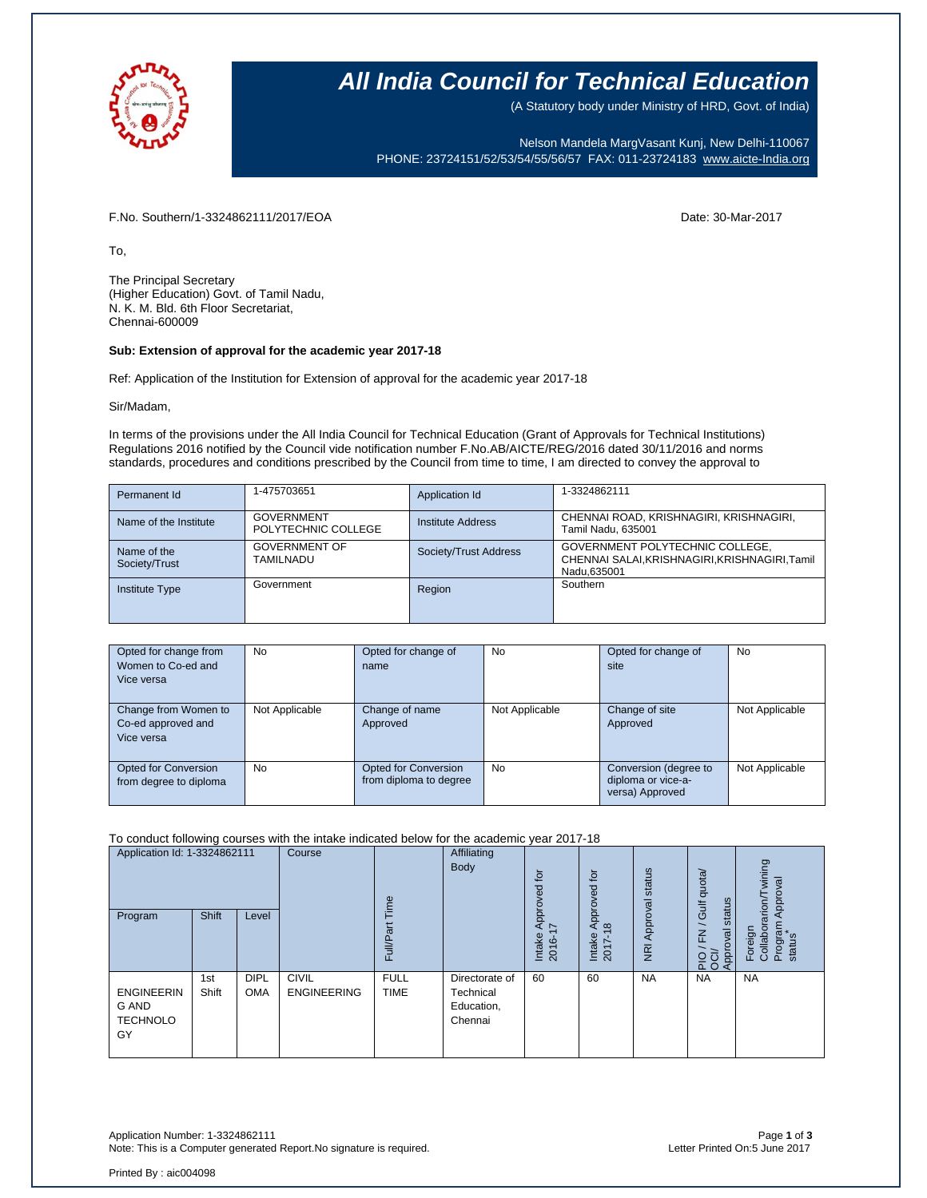

### **All India Council for Technical Education**

(A Statutory body under Ministry of HRD, Govt. of India)

Nelson Mandela MargVasant Kunj, New Delhi-110067 PHONE: 23724151/52/53/54/55/56/57 FAX: 011-23724183 [www.aicte-India.org](http://www.aicte-india.org/)

F.No. Southern/1-3324862111/2017/EOA Date: 30-Mar-2017

To,

The Principal Secretary (Higher Education) Govt. of Tamil Nadu, N. K. M. Bld. 6th Floor Secretariat, Chennai-600009

#### **Sub: Extension of approval for the academic year 2017-18**

Ref: Application of the Institution for Extension of approval for the academic year 2017-18

Sir/Madam,

In terms of the provisions under the All India Council for Technical Education (Grant of Approvals for Technical Institutions) Regulations 2016 notified by the Council vide notification number F.No.AB/AICTE/REG/2016 dated 30/11/2016 and norms standards, procedures and conditions prescribed by the Council from time to time, I am directed to convey the approval to

| Permanent Id                 | 1-475703651                              | Application Id        | 1-3324862111                                                                                     |
|------------------------------|------------------------------------------|-----------------------|--------------------------------------------------------------------------------------------------|
| Name of the Institute        | <b>GOVERNMENT</b><br>POLYTECHNIC COLLEGE | Institute Address     | CHENNAI ROAD, KRISHNAGIRI, KRISHNAGIRI,<br>Tamil Nadu, 635001                                    |
| Name of the<br>Society/Trust | <b>GOVERNMENT OF</b><br>TAMILNADU        | Society/Trust Address | GOVERNMENT POLYTECHNIC COLLEGE,<br>CHENNAI SALAI, KRISHNAGIRI, KRISHNAGIRI, Tamil<br>Nadu.635001 |
| <b>Institute Type</b>        | Government                               | Region                | Southern                                                                                         |

| Opted for change from  | <b>No</b>      | Opted for change of    | <b>No</b>      | Opted for change of   | No             |
|------------------------|----------------|------------------------|----------------|-----------------------|----------------|
| Women to Co-ed and     |                | name                   |                | site                  |                |
| Vice versa             |                |                        |                |                       |                |
|                        |                |                        |                |                       |                |
| Change from Women to   | Not Applicable | Change of name         | Not Applicable | Change of site        | Not Applicable |
| Co-ed approved and     |                | Approved               |                | Approved              |                |
| Vice versa             |                |                        |                |                       |                |
|                        |                |                        |                |                       |                |
| Opted for Conversion   | No             | Opted for Conversion   | <b>No</b>      | Conversion (degree to | Not Applicable |
| from degree to diploma |                | from diploma to degree |                | diploma or vice-a-    |                |
|                        |                |                        |                | versa) Approved       |                |

### To conduct following courses with the intake indicated below for the academic year 2017-18

| Application Id: 1-3324862111<br>Program             | <b>Shift</b> | Level                     | Course                             | Time<br>ť<br>ಹ<br>Full/P <sub>3</sub> | Affiliating<br><b>Body</b>                           | $\overline{p}$<br>ಕ್ಷ<br>Appro)<br>17<br>Intake<br>2016- | tō<br>yed<br>ppro<br>₹<br>$\infty$<br>Intake<br>2017- | Approval status<br>$\overline{g}$ | /Gulf quota/<br>status<br>$\underline{\xi}$<br>Approval<br>$\frac{5}{20}$ | wining<br>Approval<br>Collaborarion/T<br>Program<br>Foreign<br>status |
|-----------------------------------------------------|--------------|---------------------------|------------------------------------|---------------------------------------|------------------------------------------------------|----------------------------------------------------------|-------------------------------------------------------|-----------------------------------|---------------------------------------------------------------------------|-----------------------------------------------------------------------|
| <b>ENGINEERIN</b><br>G AND<br><b>TECHNOLO</b><br>GY | 1st<br>Shift | <b>DIPL</b><br><b>OMA</b> | <b>CIVIL</b><br><b>ENGINEERING</b> | <b>FULL</b><br><b>TIME</b>            | Directorate of<br>Technical<br>Education,<br>Chennai | 60                                                       | 60                                                    | <b>NA</b>                         | <b>NA</b>                                                                 | <b>NA</b>                                                             |

Application Number: 1-3324862111 Page **1** of **3** Note: This is a Computer generated Report.No signature is required.

Printed By : aic004098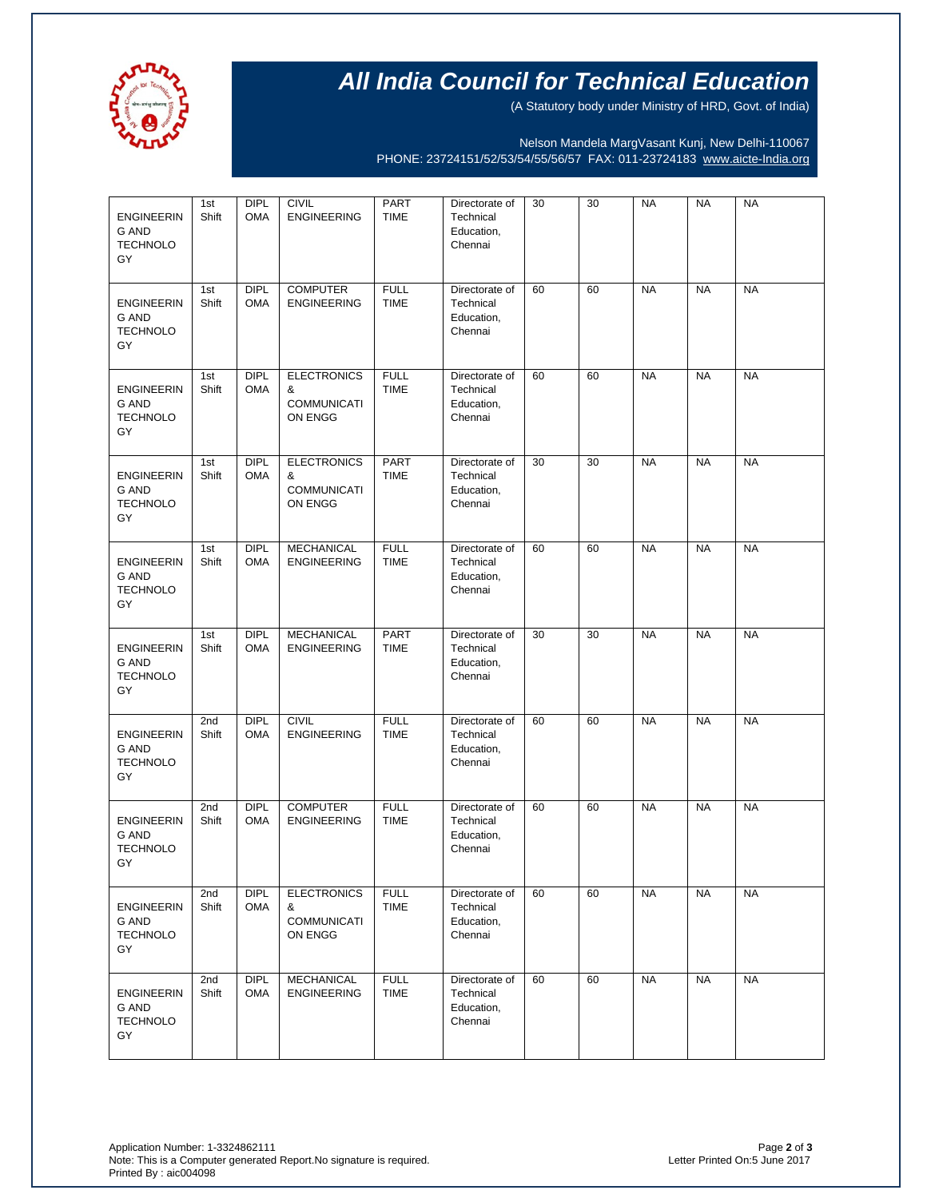

# **All India Council for Technical Education**

(A Statutory body under Ministry of HRD, Govt. of India)

Nelson Mandela MargVasant Kunj, New Delhi-110067 PHONE: 23724151/52/53/54/55/56/57 FAX: 011-23724183 [www.aicte-India.org](http://www.aicte-india.org/)

| <b>ENGINEERIN</b><br><b>G AND</b><br><b>TECHNOLO</b><br>GY | 1st<br>Shift             | <b>DIPL</b><br><b>OMA</b> | <b>CIVIL</b><br><b>ENGINEERING</b>                       | <b>PART</b><br><b>TIME</b> | Directorate of<br>Technical<br>Education,<br>Chennai | 30 | 30 | <b>NA</b> | <b>NA</b> | <b>NA</b> |
|------------------------------------------------------------|--------------------------|---------------------------|----------------------------------------------------------|----------------------------|------------------------------------------------------|----|----|-----------|-----------|-----------|
| <b>ENGINEERIN</b><br>G AND<br><b>TECHNOLO</b><br>GY        | 1st<br>Shift             | <b>DIPL</b><br><b>OMA</b> | <b>COMPUTER</b><br><b>ENGINEERING</b>                    | <b>FULL</b><br><b>TIME</b> | Directorate of<br>Technical<br>Education,<br>Chennai | 60 | 60 | <b>NA</b> | <b>NA</b> | <b>NA</b> |
| <b>ENGINEERIN</b><br><b>G AND</b><br><b>TECHNOLO</b><br>GY | 1st<br>Shift             | <b>DIPL</b><br><b>OMA</b> | <b>ELECTRONICS</b><br>&<br><b>COMMUNICATI</b><br>ON ENGG | <b>FULL</b><br><b>TIME</b> | Directorate of<br>Technical<br>Education,<br>Chennai | 60 | 60 | <b>NA</b> | <b>NA</b> | <b>NA</b> |
| <b>ENGINEERIN</b><br><b>G AND</b><br><b>TECHNOLO</b><br>GY | 1st<br>Shift             | <b>DIPL</b><br><b>OMA</b> | <b>ELECTRONICS</b><br>&<br><b>COMMUNICATI</b><br>ON ENGG | PART<br><b>TIME</b>        | Directorate of<br>Technical<br>Education,<br>Chennai | 30 | 30 | <b>NA</b> | <b>NA</b> | <b>NA</b> |
| <b>ENGINEERIN</b><br><b>G AND</b><br><b>TECHNOLO</b><br>GY | 1st<br>Shift             | <b>DIPL</b><br><b>OMA</b> | <b>MECHANICAL</b><br><b>ENGINEERING</b>                  | <b>FULL</b><br><b>TIME</b> | Directorate of<br>Technical<br>Education,<br>Chennai | 60 | 60 | <b>NA</b> | <b>NA</b> | <b>NA</b> |
| <b>ENGINEERIN</b><br><b>G AND</b><br><b>TECHNOLO</b><br>GY | 1st<br>Shift             | <b>DIPL</b><br><b>OMA</b> | <b>MECHANICAL</b><br><b>ENGINEERING</b>                  | <b>PART</b><br><b>TIME</b> | Directorate of<br>Technical<br>Education,<br>Chennai | 30 | 30 | <b>NA</b> | <b>NA</b> | <b>NA</b> |
| <b>ENGINEERIN</b><br><b>G AND</b><br><b>TECHNOLO</b><br>GY | 2 <sub>nd</sub><br>Shift | <b>DIPL</b><br><b>OMA</b> | <b>CIVIL</b><br><b>ENGINEERING</b>                       | <b>FULL</b><br><b>TIME</b> | Directorate of<br>Technical<br>Education,<br>Chennai | 60 | 60 | <b>NA</b> | <b>NA</b> | <b>NA</b> |
| <b>ENGINEERIN</b><br><b>G AND</b><br><b>TECHNOLO</b><br>GY | 2 <sub>nd</sub><br>Shift | <b>DIPL</b><br><b>OMA</b> | <b>COMPUTER</b><br><b>ENGINEERING</b>                    | <b>FULL</b><br><b>TIME</b> | Directorate of<br>Technical<br>Education,<br>Chennai | 60 | 60 | <b>NA</b> | <b>NA</b> | <b>NA</b> |
| <b>ENGINEERIN</b><br><b>G AND</b><br><b>TECHNOLO</b><br>GY | 2nd<br>Shift             | DIPL<br><b>OMA</b>        | <b>ELECTRONICS</b><br>&<br><b>COMMUNICATI</b><br>ON ENGG | <b>FULL</b><br><b>TIME</b> | Directorate of<br>Technical<br>Education,<br>Chennai | 60 | 60 | <b>NA</b> | <b>NA</b> | <b>NA</b> |
| <b>ENGINEERIN</b><br><b>G AND</b><br><b>TECHNOLO</b><br>GY | 2nd<br>Shift             | <b>DIPL</b><br><b>OMA</b> | MECHANICAL<br><b>ENGINEERING</b>                         | <b>FULL</b><br><b>TIME</b> | Directorate of<br>Technical<br>Education,<br>Chennai | 60 | 60 | <b>NA</b> | <b>NA</b> | <b>NA</b> |